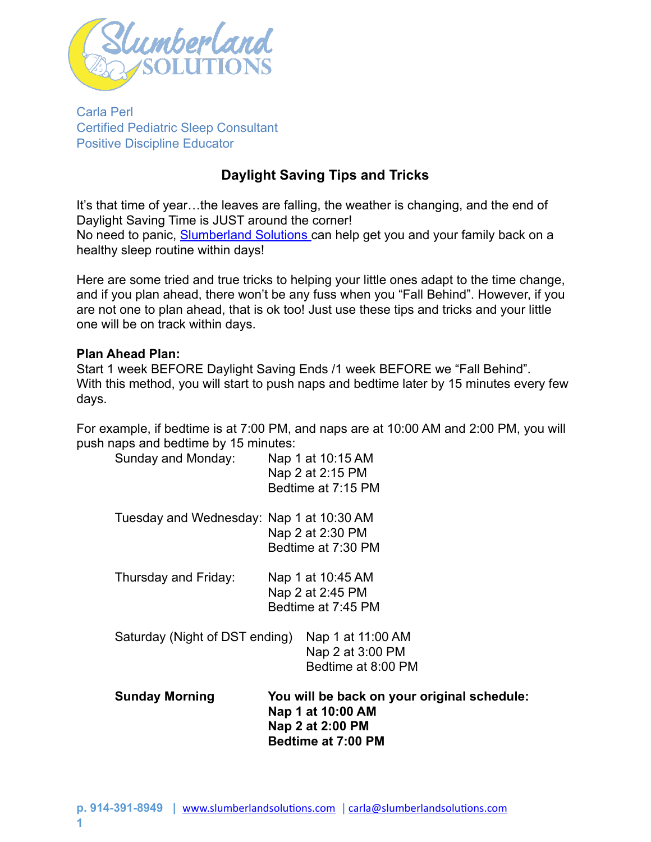

Carla Perl Certified Pediatric Sleep Consultant Positive Discipline Educator

# **Daylight Saving Tips and Tricks**

It's that time of year…the leaves are falling, the weather is changing, and the end of Daylight Saving Time is JUST around the corner! No need to panic, [Slumberland Solutions c](http://www.slumberlandsolutions.com)an help get you and your family back on a healthy sleep routine within days!

Here are some tried and true tricks to helping your little ones adapt to the time change, and if you plan ahead, there won't be any fuss when you "Fall Behind". However, if you are not one to plan ahead, that is ok too! Just use these tips and tricks and your little one will be on track within days.

#### **Plan Ahead Plan:**

Start 1 week BEFORE Daylight Saving Ends /1 week BEFORE we "Fall Behind". With this method, you will start to push naps and bedtime later by 15 minutes every few days.

For example, if bedtime is at 7:00 PM, and naps are at 10:00 AM and 2:00 PM, you will push naps and bedtime by 15 minutes:

| <b>Sunday Morning</b>                    | You will be back on your original schedule:<br>Nap 1 at 10:00 AM<br>Nap 2 at 2:00 PM<br><b>Bedtime at 7:00 PM</b> |
|------------------------------------------|-------------------------------------------------------------------------------------------------------------------|
|                                          | Bedtime at 8:00 PM                                                                                                |
| Saturday (Night of DST ending)           | Nap 1 at 11:00 AM<br>Nap 2 at 3:00 PM                                                                             |
|                                          | Bedtime at 7:45 PM                                                                                                |
| Thursday and Friday:                     | Nap 1 at 10:45 AM<br>Nap 2 at 2:45 PM                                                                             |
|                                          |                                                                                                                   |
|                                          | Bedtime at 7:30 PM                                                                                                |
|                                          | Nap 2 at 2:30 PM                                                                                                  |
| Tuesday and Wednesday: Nap 1 at 10:30 AM |                                                                                                                   |
|                                          | Bedtime at 7:15 PM                                                                                                |
|                                          | Nap 2 at 2:15 PM                                                                                                  |
| Sunday and Monday:                       | Nap 1 at 10:15 AM                                                                                                 |